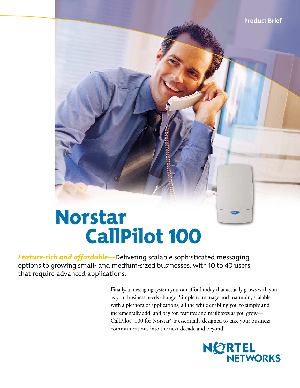# Norstar CallPilot 100

*Feature-rich and affordable—*Delivering scalable sophisticated messaging options to growing small- and medium-sized businesses, with 10 to 40 users, that require advanced applications.

> Finally, a messaging system you can afford today that actually grows with you as your business needs change. Simple to manage and maintain, scalable with a plethora of applications, all the while enabling you to simply and incrementally add, and pay for, features and mailboxes as you grow— CallPilot\* 100 for Norstar\* is essentially designed to take your business communications into the next decade and beyond!

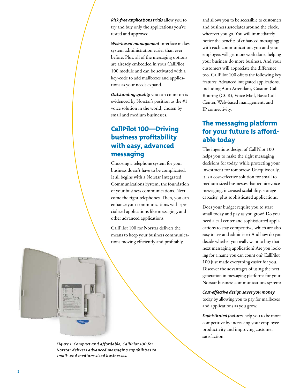*Risk-free applications trials* allow you to try and buy only the applications you've tested and approved.

*Web-based management* interface makes system administration easier than ever before. Plus, all of the messaging options are already embedded in your CallPilot 100 module and can be activated with a key-code to add mailboxes and applications as your needs expand.

*Outstanding quality* you can count on is evidenced by Norstar's position as the #1 voice solution in the world, chosen by small and medium businesses.

# CallPilot 100—Driving business profitability with easy, advanced messaging

Choosing a telephone system for your business doesn't have to be complicated. It all begins with a Norstar Integrated Communications System, the foundation of your business communications. Next come the right telephones. Then, you can enhance your communications with specialized applications like messaging, and other advanced applications.

CallPilot 100 for Norstar delivers the means to keep your business communications moving efficiently and profitably,

and allows you to be accessible to customers and business associates around the clock, wherever you go. You will immediately notice the benefits of enhanced messaging; with each communication, you and your employees will get more work done, helping your business do more business. And your customers will appreciate the difference, too. CallPilot 100 offers the following key features: Advanced integrated applications, including Auto Attendant, Custom Call Routing (CCR), Voice Mail, Basic Call Center, Web-based management, and IP connectivity.

# The messaging platform for your future is affordable today

The ingenious design of CallPilot 100 helps you to make the right messaging decisions for today, while protecting your investment for tomorrow. Unequivocally, it is a cost-effective solution for small to medium-sized businesses that require voice messaging, increased scalability, storage capacity, plus sophisticated applications.

Does your budget require you to start small today and pay as you grow? Do you need a call center and sophisticated applications to stay competitive, which are also easy to use and administer? And how do you decide whether you really want to buy that next messaging application? Are you looking for a name you can count on? CallPilot 100 just made everything easier for you. Discover the advantages of using the next generation in messaging platforms for your Norstar business communications system:

#### *Cost-effective design saves you money*

today by allowing you to pay for mailboxes and applications as you grow.

*Sophisticated features* help you to be more competitive by increasing your employee productivity and improving customer satisfaction.



*Figure 1: Compact and affordable, CallPilot 100 for Norstar delivers advanced messaging capabilities to small- and medium-sized businesses.*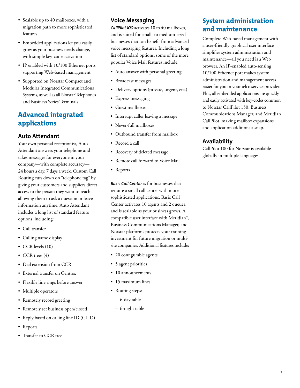- Scalable up to 40 mailboxes, with a migration path to more sophisticated features
- Embedded applications let you easily grow as your business needs change, with simple key-code activation
- IP enabled with 10/100 Ethernet ports supporting Web-based management
- Supported on Norstar Compact and Modular Integrated Communications Systems, as well as all Norstar Telephones and Business Series Terminals

# Advanced integrated applications

# **Auto Attendant**

Your own personal receptionist, Auto Attendant answers your telephone and takes messages for everyone in your company—with complete accuracy— 24 hours a day, 7 days a week. Custom Call Routing cuts down on "telephone tag" by giving your customers and suppliers direct access to the person they want to reach, allowing them to ask a question or leave information anytime. Auto Attendant includes a long list of standard feature options, including:

- Call transfer
- Calling name display
- CCR levels (10)
- CCR trees (4)
- Dial extension from CCR
- External transfer on Centrex
- Flexible line rings before answer
- Multiple operators
- Remotely record greeting
- Remotely set business open/closed
- Reply based on calling line ID (CLID)
- Reports
- Transfer to CCR tree

### **Voice Messaging**

*CallPilot 100* activates 10 to 40 mailboxes, and is suited for small- to medium-sized businesses that can benefit from advanced voice messaging features. Including a long list of standard options, some of the more popular Voice Mail features include:

- Auto answer with personal greeting
- Broadcast messages
- Delivery options (private, urgent, etc.)
- Express messaging
- Guest mailboxes
- Interrupt caller leaving a message
- Never-full mailboxes
- Outbound transfer from mailbox
- Record a call
- Recovery of deleted message
- Remote call forward to Voice Mail
- Reports

*Basic Call Center* is for businesses that require a small call center with more sophisticated applications. Basic Call Center activates 10 agents and 2 queues, and is scalable as your business grows. A compatible user interface with Meridian\*, Business Communications Manager, and Norstar platforms protects your training investment for future migration or multisite companies. Additional features include:

- 20 configurable agents
- 5 agent priorities
- 10 announcements
- 15 maximum lines
- Routing steps:
- 6-day table
- 6-night table

# System administration and maintenance

Complete Web-based management with a user-friendly graphical user interface simplifies system administration and maintenance—all you need is a Web browser. An IP-enabled auto-sensing 10/100 Ethernet port makes system administration and management access easier for you or your telco service provider. Plus, all embedded applications are quickly and easily activated with key-codes common to Norstar CallPilot 150, Business Communications Manager, and Meridian CallPilot, making mailbox expansions and application additions a snap.

# **Availability**

CallPilot 100 for Norstar is available globally in multiple languages.